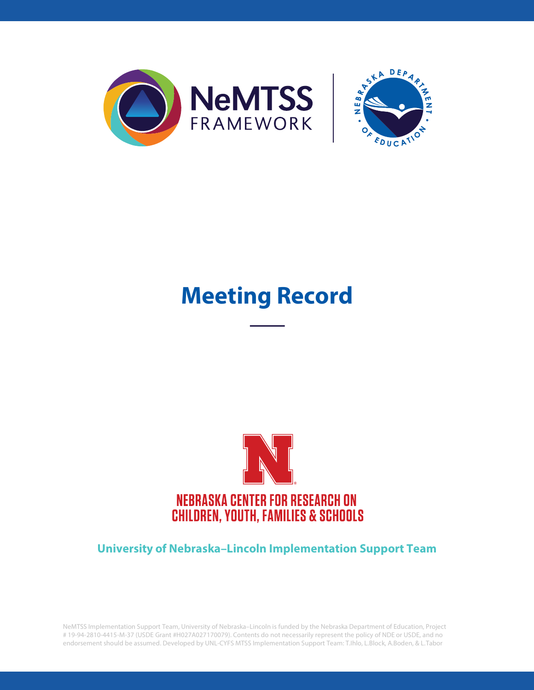



# **Meeting Record**



#### **University of Nebraska–Lincoln Implementation Support Team**

NeMTSS Implementation Support Team, University of Nebraska–Lincoln is funded by the Nebraska Department of Education, Project # 19-94-2810-4415-M-37 (USDE Grant #H027A027170079). Contents do not necessarily represent the policy of NDE or USDE, and no endorsement should be assumed. Developed by UNL-CYFS MTSS Implementation Support Team: T.Ihlo, L.Block, A.Boden, & L.Tabor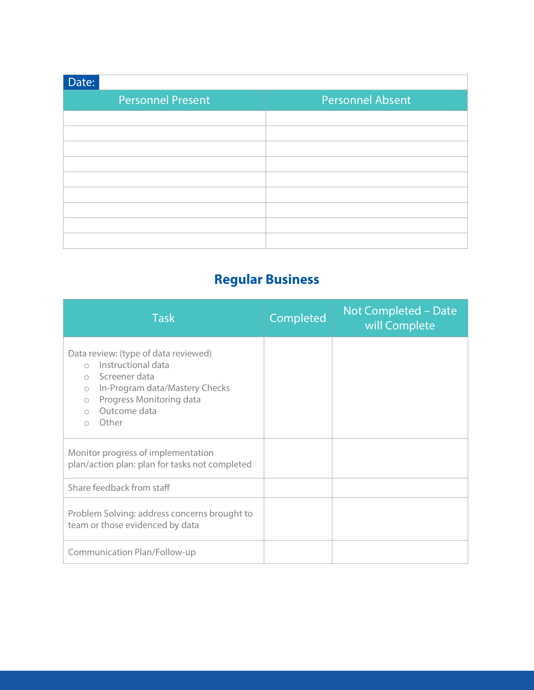| Date:                    |                         |
|--------------------------|-------------------------|
| <b>Personnel Present</b> | <b>Personnel Absent</b> |
|                          |                         |
|                          |                         |
|                          |                         |
|                          |                         |
|                          |                         |
|                          |                         |
|                          |                         |
|                          |                         |
|                          |                         |

## **Regular Business**

| <b>Task</b>                                                                                                                                                                                                                                    | Completed | Not Completed - Date<br>will Complete |
|------------------------------------------------------------------------------------------------------------------------------------------------------------------------------------------------------------------------------------------------|-----------|---------------------------------------|
| Data review: (type of data reviewed)<br>Instructional data<br>$\bigcap$<br>$\circ$ Screener data<br>In-Program data/Mastery Checks<br>$\bigcirc$<br>Progress Monitoring data<br>$\bigcirc$<br>Outcome data<br>$\bigcirc$<br>Other<br>$\bigcap$ |           |                                       |
| Monitor progress of implementation<br>plan/action plan: plan for tasks not completed                                                                                                                                                           |           |                                       |
| Share feedback from staff                                                                                                                                                                                                                      |           |                                       |
| Problem Solving: address concerns brought to<br>team or those evidenced by data                                                                                                                                                                |           |                                       |
| Communication Plan/Follow-up                                                                                                                                                                                                                   |           |                                       |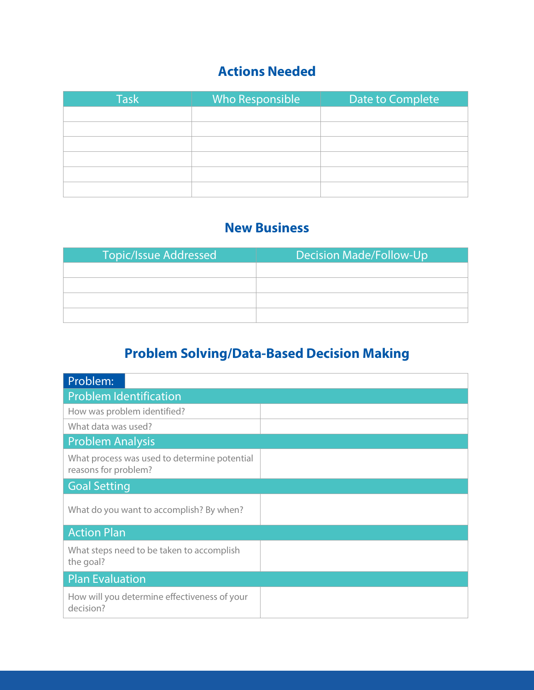### **Actions Needed**

| <b>Task</b> | Who Responsible | Date to Complete |
|-------------|-----------------|------------------|
|             |                 |                  |
|             |                 |                  |
|             |                 |                  |
|             |                 |                  |
|             |                 |                  |
|             |                 |                  |

#### **New Business**

| <b>Topic/Issue Addressed</b> | <b>Decision Made/Follow-Up</b> |
|------------------------------|--------------------------------|
|                              |                                |
|                              |                                |
|                              |                                |
|                              |                                |

## **Problem Solving/Data-Based Decision Making**

| Problem:                                                             |  |
|----------------------------------------------------------------------|--|
| <b>Problem Identification</b>                                        |  |
| How was problem identified?                                          |  |
| What data was used?                                                  |  |
| <b>Problem Analysis</b>                                              |  |
| What process was used to determine potential<br>reasons for problem? |  |
| <b>Goal Setting</b>                                                  |  |
| What do you want to accomplish? By when?                             |  |
| <b>Action Plan</b>                                                   |  |
| What steps need to be taken to accomplish<br>the goal?               |  |
| <b>Plan Evaluation</b>                                               |  |
| How will you determine effectiveness of your<br>decision?            |  |